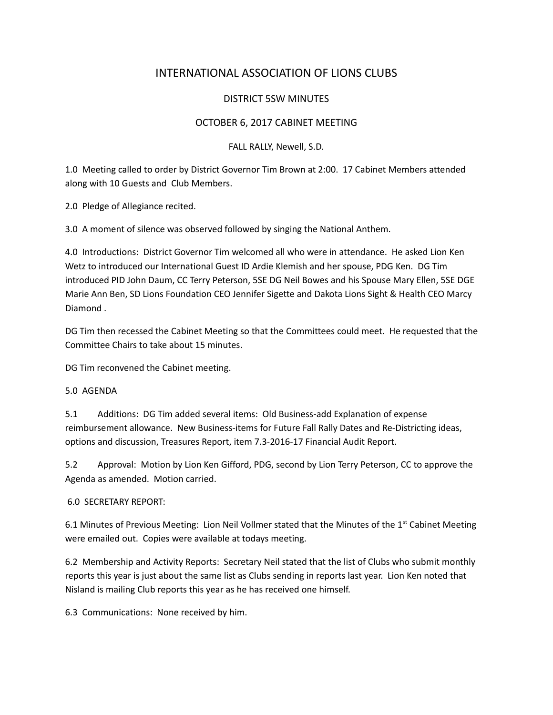# INTERNATIONAL ASSOCIATION OF LIONS CLUBS

## DISTRICT 5SW MINUTES

## OCTOBER 6, 2017 CABINET MEETING

### FALL RALLY, Newell, S.D.

1.0 Meeting called to order by District Governor Tim Brown at 2:00. 17 Cabinet Members attended along with 10 Guests and Club Members.

2.0 Pledge of Allegiance recited.

3.0 A moment of silence was observed followed by singing the National Anthem.

4.0 Introductions: District Governor Tim welcomed all who were in attendance. He asked Lion Ken Wetz to introduced our International Guest ID Ardie Klemish and her spouse, PDG Ken. DG Tim introduced PID John Daum, CC Terry Peterson, 5SE DG Neil Bowes and his Spouse Mary Ellen, 5SE DGE Marie Ann Ben, SD Lions Foundation CEO Jennifer Sigette and Dakota Lions Sight & Health CEO Marcy Diamond .

DG Tim then recessed the Cabinet Meeting so that the Committees could meet. He requested that the Committee Chairs to take about 15 minutes.

DG Tim reconvened the Cabinet meeting.

#### 5.0 AGENDA

5.1 Additions: DG Tim added several items: Old Business-add Explanation of expense reimbursement allowance. New Business-items for Future Fall Rally Dates and Re-Districting ideas, options and discussion, Treasures Report, item 7.3-2016-17 Financial Audit Report.

5.2 Approval: Motion by Lion Ken Gifford, PDG, second by Lion Terry Peterson, CC to approve the Agenda as amended. Motion carried.

#### 6.0 SECRETARY REPORT:

6.1 Minutes of Previous Meeting: Lion Neil Vollmer stated that the Minutes of the 1<sup>st</sup> Cabinet Meeting were emailed out. Copies were available at todays meeting.

6.2 Membership and Activity Reports: Secretary Neil stated that the list of Clubs who submit monthly reports this year is just about the same list as Clubs sending in reports last year. Lion Ken noted that Nisland is mailing Club reports this year as he has received one himself.

6.3 Communications: None received by him.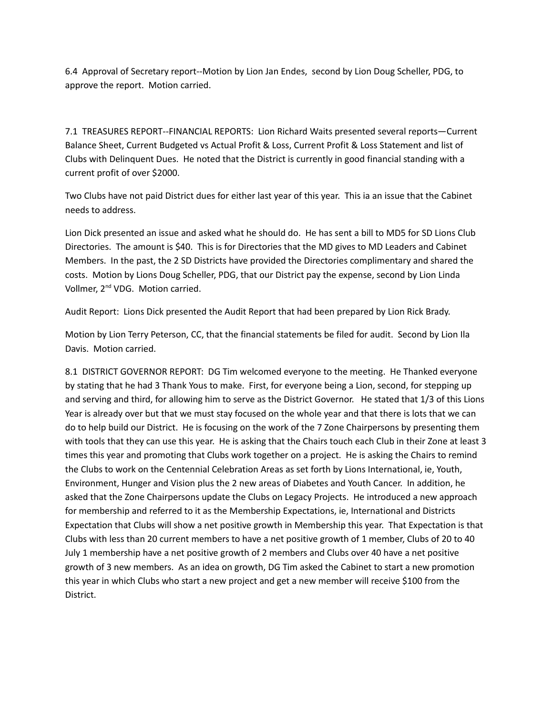6.4 Approval of Secretary report--Motion by Lion Jan Endes, second by Lion Doug Scheller, PDG, to approve the report. Motion carried.

7.1 TREASURES REPORT--FINANCIAL REPORTS: Lion Richard Waits presented several reports—Current Balance Sheet, Current Budgeted vs Actual Profit & Loss, Current Profit & Loss Statement and list of Clubs with Delinquent Dues. He noted that the District is currently in good financial standing with a current profit of over \$2000.

Two Clubs have not paid District dues for either last year of this year. This ia an issue that the Cabinet needs to address.

Lion Dick presented an issue and asked what he should do. He has sent a bill to MD5 for SD Lions Club Directories. The amount is \$40. This is for Directories that the MD gives to MD Leaders and Cabinet Members. In the past, the 2 SD Districts have provided the Directories complimentary and shared the costs. Motion by Lions Doug Scheller, PDG, that our District pay the expense, second by Lion Linda Vollmer, 2<sup>nd</sup> VDG. Motion carried.

Audit Report: Lions Dick presented the Audit Report that had been prepared by Lion Rick Brady.

Motion by Lion Terry Peterson, CC, that the financial statements be filed for audit. Second by Lion Ila Davis. Motion carried.

8.1 DISTRICT GOVERNOR REPORT: DG Tim welcomed everyone to the meeting. He Thanked everyone by stating that he had 3 Thank Yous to make. First, for everyone being a Lion, second, for stepping up and serving and third, for allowing him to serve as the District Governor. He stated that 1/3 of this Lions Year is already over but that we must stay focused on the whole year and that there is lots that we can do to help build our District. He is focusing on the work of the 7 Zone Chairpersons by presenting them with tools that they can use this year. He is asking that the Chairs touch each Club in their Zone at least 3 times this year and promoting that Clubs work together on a project. He is asking the Chairs to remind the Clubs to work on the Centennial Celebration Areas as set forth by Lions International, ie, Youth, Environment, Hunger and Vision plus the 2 new areas of Diabetes and Youth Cancer. In addition, he asked that the Zone Chairpersons update the Clubs on Legacy Projects. He introduced a new approach for membership and referred to it as the Membership Expectations, ie, International and Districts Expectation that Clubs will show a net positive growth in Membership this year. That Expectation is that Clubs with less than 20 current members to have a net positive growth of 1 member, Clubs of 20 to 40 July 1 membership have a net positive growth of 2 members and Clubs over 40 have a net positive growth of 3 new members. As an idea on growth, DG Tim asked the Cabinet to start a new promotion this year in which Clubs who start a new project and get a new member will receive \$100 from the District.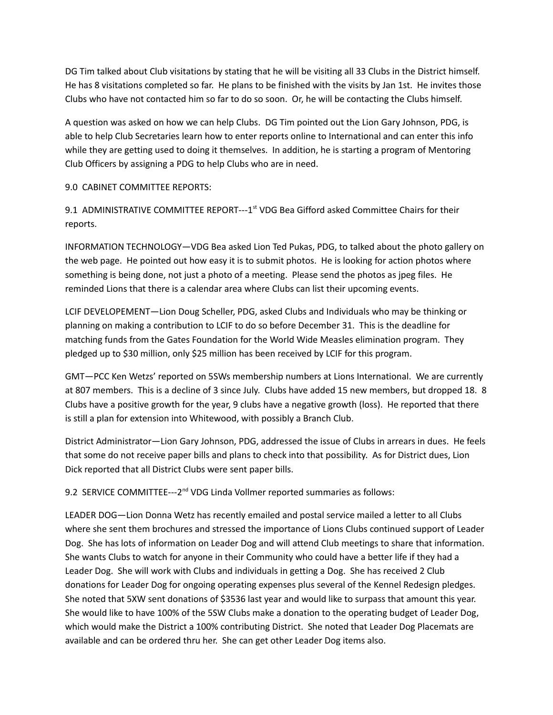DG Tim talked about Club visitations by stating that he will be visiting all 33 Clubs in the District himself. He has 8 visitations completed so far. He plans to be finished with the visits by Jan 1st. He invites those Clubs who have not contacted him so far to do so soon. Or, he will be contacting the Clubs himself.

A question was asked on how we can help Clubs. DG Tim pointed out the Lion Gary Johnson, PDG, is able to help Club Secretaries learn how to enter reports online to International and can enter this info while they are getting used to doing it themselves. In addition, he is starting a program of Mentoring Club Officers by assigning a PDG to help Clubs who are in need.

9.0 CABINET COMMITTEE REPORTS:

9.1 ADMINISTRATIVE COMMITTEE REPORT---1<sup>st</sup> VDG Bea Gifford asked Committee Chairs for their reports.

INFORMATION TECHNOLOGY—VDG Bea asked Lion Ted Pukas, PDG, to talked about the photo gallery on the web page. He pointed out how easy it is to submit photos. He is looking for action photos where something is being done, not just a photo of a meeting. Please send the photos as jpeg files. He reminded Lions that there is a calendar area where Clubs can list their upcoming events.

LCIF DEVELOPEMENT—Lion Doug Scheller, PDG, asked Clubs and Individuals who may be thinking or planning on making a contribution to LCIF to do so before December 31. This is the deadline for matching funds from the Gates Foundation for the World Wide Measles elimination program. They pledged up to \$30 million, only \$25 million has been received by LCIF for this program.

GMT—PCC Ken Wetzs' reported on 5SWs membership numbers at Lions International. We are currently at 807 members. This is a decline of 3 since July. Clubs have added 15 new members, but dropped 18. 8 Clubs have a positive growth for the year, 9 clubs have a negative growth (loss). He reported that there is still a plan for extension into Whitewood, with possibly a Branch Club.

District Administrator—Lion Gary Johnson, PDG, addressed the issue of Clubs in arrears in dues. He feels that some do not receive paper bills and plans to check into that possibility. As for District dues, Lion Dick reported that all District Clubs were sent paper bills.

9.2 SERVICE COMMITTEE---2<sup>nd</sup> VDG Linda Vollmer reported summaries as follows:

LEADER DOG—Lion Donna Wetz has recently emailed and postal service mailed a letter to all Clubs where she sent them brochures and stressed the importance of Lions Clubs continued support of Leader Dog. She has lots of information on Leader Dog and will attend Club meetings to share that information. She wants Clubs to watch for anyone in their Community who could have a better life if they had a Leader Dog. She will work with Clubs and individuals in getting a Dog. She has received 2 Club donations for Leader Dog for ongoing operating expenses plus several of the Kennel Redesign pledges. She noted that 5XW sent donations of \$3536 last year and would like to surpass that amount this year. She would like to have 100% of the 5SW Clubs make a donation to the operating budget of Leader Dog, which would make the District a 100% contributing District. She noted that Leader Dog Placemats are available and can be ordered thru her. She can get other Leader Dog items also.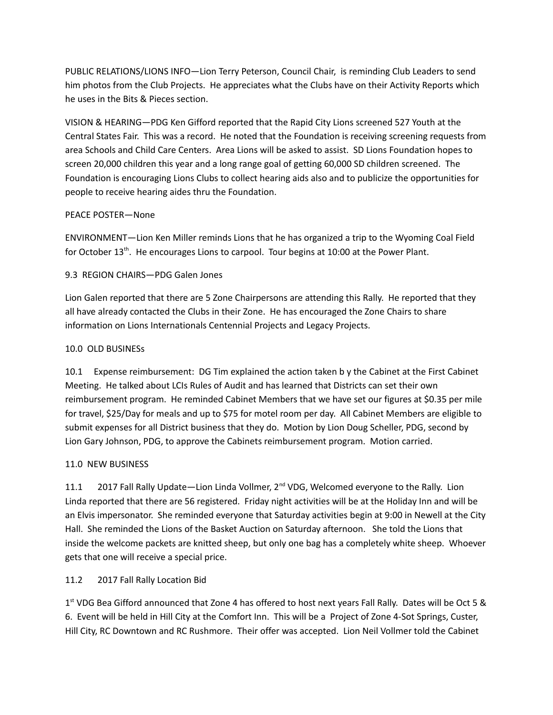PUBLIC RELATIONS/LIONS INFO—Lion Terry Peterson, Council Chair, is reminding Club Leaders to send him photos from the Club Projects. He appreciates what the Clubs have on their Activity Reports which he uses in the Bits & Pieces section.

VISION & HEARING—PDG Ken Gifford reported that the Rapid City Lions screened 527 Youth at the Central States Fair. This was a record. He noted that the Foundation is receiving screening requests from area Schools and Child Care Centers. Area Lions will be asked to assist. SD Lions Foundation hopes to screen 20,000 children this year and a long range goal of getting 60,000 SD children screened. The Foundation is encouraging Lions Clubs to collect hearing aids also and to publicize the opportunities for people to receive hearing aides thru the Foundation.

### PEACE POSTER—None

ENVIRONMENT—Lion Ken Miller reminds Lions that he has organized a trip to the Wyoming Coal Field for October  $13<sup>th</sup>$ . He encourages Lions to carpool. Tour begins at 10:00 at the Power Plant.

## 9.3 REGION CHAIRS—PDG Galen Jones

Lion Galen reported that there are 5 Zone Chairpersons are attending this Rally. He reported that they all have already contacted the Clubs in their Zone. He has encouraged the Zone Chairs to share information on Lions Internationals Centennial Projects and Legacy Projects.

### 10.0 OLD BUSINESs

10.1 Expense reimbursement: DG Tim explained the action taken b y the Cabinet at the First Cabinet Meeting. He talked about LCIs Rules of Audit and has learned that Districts can set their own reimbursement program. He reminded Cabinet Members that we have set our figures at \$0.35 per mile for travel, \$25/Day for meals and up to \$75 for motel room per day. All Cabinet Members are eligible to submit expenses for all District business that they do. Motion by Lion Doug Scheller, PDG, second by Lion Gary Johnson, PDG, to approve the Cabinets reimbursement program. Motion carried.

#### 11.0 NEW BUSINESS

11.1 2017 Fall Rally Update—Lion Linda Vollmer, 2<sup>nd</sup> VDG, Welcomed everyone to the Rally. Lion Linda reported that there are 56 registered. Friday night activities will be at the Holiday Inn and will be an Elvis impersonator. She reminded everyone that Saturday activities begin at 9:00 in Newell at the City Hall. She reminded the Lions of the Basket Auction on Saturday afternoon. She told the Lions that inside the welcome packets are knitted sheep, but only one bag has a completely white sheep. Whoever gets that one will receive a special price.

#### 11.2 2017 Fall Rally Location Bid

1<sup>st</sup> VDG Bea Gifford announced that Zone 4 has offered to host next years Fall Rally. Dates will be Oct 5 & 6. Event will be held in Hill City at the Comfort Inn. This will be a Project of Zone 4-Sot Springs, Custer, Hill City, RC Downtown and RC Rushmore. Their offer was accepted. Lion Neil Vollmer told the Cabinet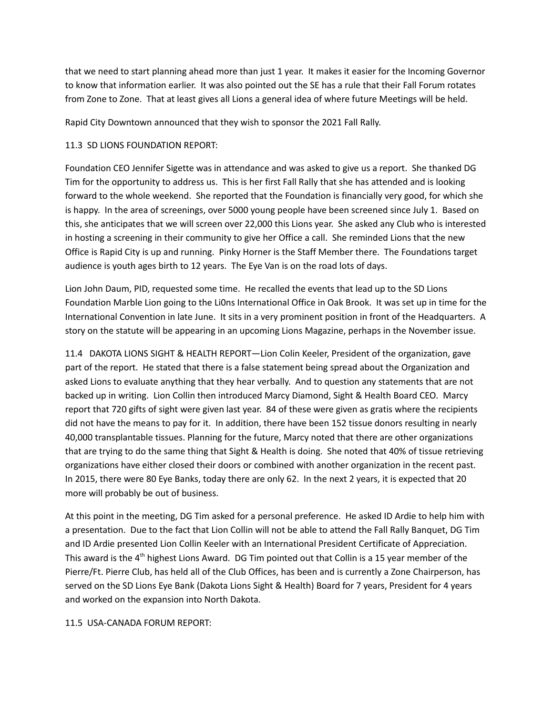that we need to start planning ahead more than just 1 year. It makes it easier for the Incoming Governor to know that information earlier. It was also pointed out the SE has a rule that their Fall Forum rotates from Zone to Zone. That at least gives all Lions a general idea of where future Meetings will be held.

Rapid City Downtown announced that they wish to sponsor the 2021 Fall Rally.

#### 11.3 SD LIONS FOUNDATION REPORT:

Foundation CEO Jennifer Sigette was in attendance and was asked to give us a report. She thanked DG Tim for the opportunity to address us. This is her first Fall Rally that she has attended and is looking forward to the whole weekend. She reported that the Foundation is financially very good, for which she is happy. In the area of screenings, over 5000 young people have been screened since July 1. Based on this, she anticipates that we will screen over 22,000 this Lions year. She asked any Club who is interested in hosting a screening in their community to give her Office a call. She reminded Lions that the new Office is Rapid City is up and running. Pinky Horner is the Staff Member there. The Foundations target audience is youth ages birth to 12 years. The Eye Van is on the road lots of days.

Lion John Daum, PID, requested some time. He recalled the events that lead up to the SD Lions Foundation Marble Lion going to the Li0ns International Office in Oak Brook. It was set up in time for the International Convention in late June. It sits in a very prominent position in front of the Headquarters. A story on the statute will be appearing in an upcoming Lions Magazine, perhaps in the November issue.

11.4 DAKOTA LIONS SIGHT & HEALTH REPORT—Lion Colin Keeler, President of the organization, gave part of the report. He stated that there is a false statement being spread about the Organization and asked Lions to evaluate anything that they hear verbally. And to question any statements that are not backed up in writing. Lion Collin then introduced Marcy Diamond, Sight & Health Board CEO. Marcy report that 720 gifts of sight were given last year. 84 of these were given as gratis where the recipients did not have the means to pay for it. In addition, there have been 152 tissue donors resulting in nearly 40,000 transplantable tissues. Planning for the future, Marcy noted that there are other organizations that are trying to do the same thing that Sight & Health is doing. She noted that 40% of tissue retrieving organizations have either closed their doors or combined with another organization in the recent past. In 2015, there were 80 Eye Banks, today there are only 62. In the next 2 years, it is expected that 20 more will probably be out of business.

At this point in the meeting, DG Tim asked for a personal preference. He asked ID Ardie to help him with a presentation. Due to the fact that Lion Collin will not be able to attend the Fall Rally Banquet, DG Tim and ID Ardie presented Lion Collin Keeler with an International President Certificate of Appreciation. This award is the  $4<sup>th</sup>$  highest Lions Award. DG Tim pointed out that Collin is a 15 year member of the Pierre/Ft. Pierre Club, has held all of the Club Offices, has been and is currently a Zone Chairperson, has served on the SD Lions Eye Bank (Dakota Lions Sight & Health) Board for 7 years, President for 4 years and worked on the expansion into North Dakota.

#### 11.5 USA-CANADA FORUM REPORT: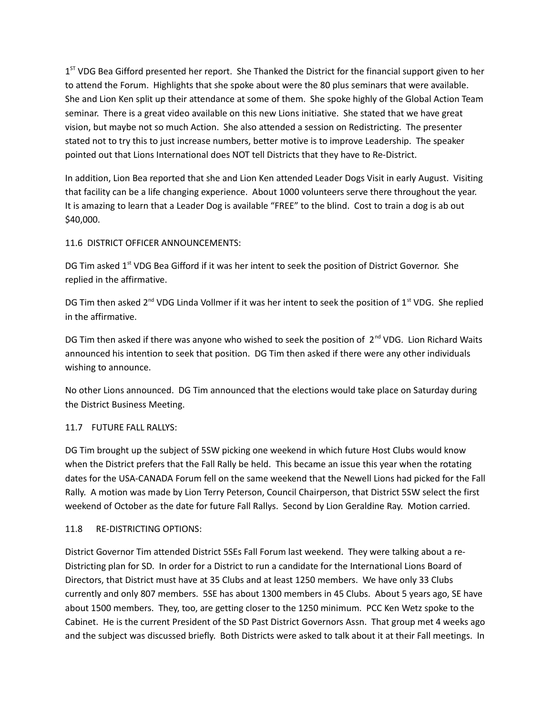1<sup>ST</sup> VDG Bea Gifford presented her report. She Thanked the District for the financial support given to her to attend the Forum. Highlights that she spoke about were the 80 plus seminars that were available. She and Lion Ken split up their attendance at some of them. She spoke highly of the Global Action Team seminar. There is a great video available on this new Lions initiative. She stated that we have great vision, but maybe not so much Action. She also attended a session on Redistricting. The presenter stated not to try this to just increase numbers, better motive is to improve Leadership. The speaker pointed out that Lions International does NOT tell Districts that they have to Re-District.

In addition, Lion Bea reported that she and Lion Ken attended Leader Dogs Visit in early August. Visiting that facility can be a life changing experience. About 1000 volunteers serve there throughout the year. It is amazing to learn that a Leader Dog is available "FREE" to the blind. Cost to train a dog is ab out \$40,000.

### 11.6 DISTRICT OFFICER ANNOUNCEMENTS:

DG Tim asked  $1<sup>st</sup>$  VDG Bea Gifford if it was her intent to seek the position of District Governor. She replied in the affirmative.

DG Tim then asked 2<sup>nd</sup> VDG Linda Vollmer if it was her intent to seek the position of 1<sup>st</sup> VDG. She replied in the affirmative.

DG Tim then asked if there was anyone who wished to seek the position of 2<sup>nd</sup> VDG. Lion Richard Waits announced his intention to seek that position. DG Tim then asked if there were any other individuals wishing to announce.

No other Lions announced. DG Tim announced that the elections would take place on Saturday during the District Business Meeting.

## 11.7 FUTURE FALL RALLYS:

DG Tim brought up the subject of 5SW picking one weekend in which future Host Clubs would know when the District prefers that the Fall Rally be held. This became an issue this year when the rotating dates for the USA-CANADA Forum fell on the same weekend that the Newell Lions had picked for the Fall Rally. A motion was made by Lion Terry Peterson, Council Chairperson, that District 5SW select the first weekend of October as the date for future Fall Rallys. Second by Lion Geraldine Ray. Motion carried.

#### 11.8 RE-DISTRICTING OPTIONS:

District Governor Tim attended District 5SEs Fall Forum last weekend. They were talking about a re-Districting plan for SD. In order for a District to run a candidate for the International Lions Board of Directors, that District must have at 35 Clubs and at least 1250 members. We have only 33 Clubs currently and only 807 members. 5SE has about 1300 members in 45 Clubs. About 5 years ago, SE have about 1500 members. They, too, are getting closer to the 1250 minimum. PCC Ken Wetz spoke to the Cabinet. He is the current President of the SD Past District Governors Assn. That group met 4 weeks ago and the subject was discussed briefly. Both Districts were asked to talk about it at their Fall meetings. In